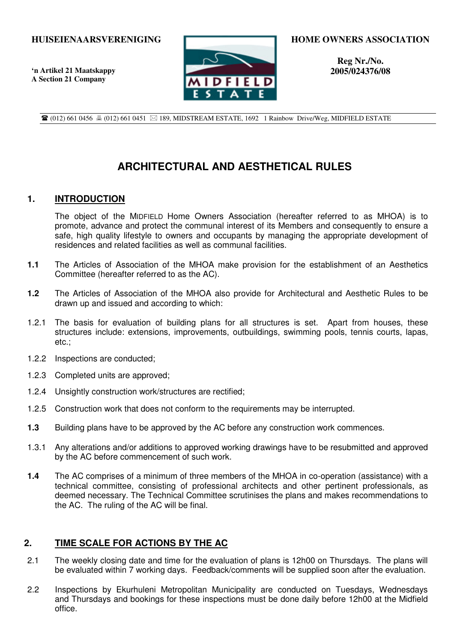**'n Artikel 21 Maatskappy A Section 21 Company**



**HOME OWNERS ASSOCIATION** 

**Reg Nr./No. 2005/024376/08** 

 $\mathbf{\mathcal{F}}$  (012) 661 0456  $\equiv$  (012) 661 0451  $\boxtimes$  189, MIDSTREAM ESTATE, 1692 1 Rainbow Drive/Weg, MIDFIELD ESTATE

# **ARCHITECTURAL AND AESTHETICAL RULES**

### **1. INTRODUCTION**

The object of the MIDFIELD Home Owners Association (hereafter referred to as MHOA) is to promote, advance and protect the communal interest of its Members and consequently to ensure a safe, high quality lifestyle to owners and occupants by managing the appropriate development of residences and related facilities as well as communal facilities.

- **1.1** The Articles of Association of the MHOA make provision for the establishment of an Aesthetics Committee (hereafter referred to as the AC).
- **1.2** The Articles of Association of the MHOA also provide for Architectural and Aesthetic Rules to be drawn up and issued and according to which:
- 1.2.1 The basis for evaluation of building plans for all structures is set. Apart from houses, these structures include: extensions, improvements, outbuildings, swimming pools, tennis courts, lapas, etc.;
- 1.2.2 Inspections are conducted;
- 1.2.3 Completed units are approved;
- 1.2.4 Unsightly construction work/structures are rectified;
- 1.2.5 Construction work that does not conform to the requirements may be interrupted.
- **1.3** Building plans have to be approved by the AC before any construction work commences.
- 1.3.1 Any alterations and/or additions to approved working drawings have to be resubmitted and approved by the AC before commencement of such work.
- **1.4** The AC comprises of a minimum of three members of the MHOA in co-operation (assistance) with a technical committee, consisting of professional architects and other pertinent professionals, as deemed necessary. The Technical Committee scrutinises the plans and makes recommendations to the AC. The ruling of the AC will be final.

### **2. TIME SCALE FOR ACTIONS BY THE AC**

- 2.1 The weekly closing date and time for the evaluation of plans is 12h00 on Thursdays. The plans will be evaluated within 7 working days. Feedback/comments will be supplied soon after the evaluation.
- 2.2 Inspections by Ekurhuleni Metropolitan Municipality are conducted on Tuesdays, Wednesdays and Thursdays and bookings for these inspections must be done daily before 12h00 at the Midfield office.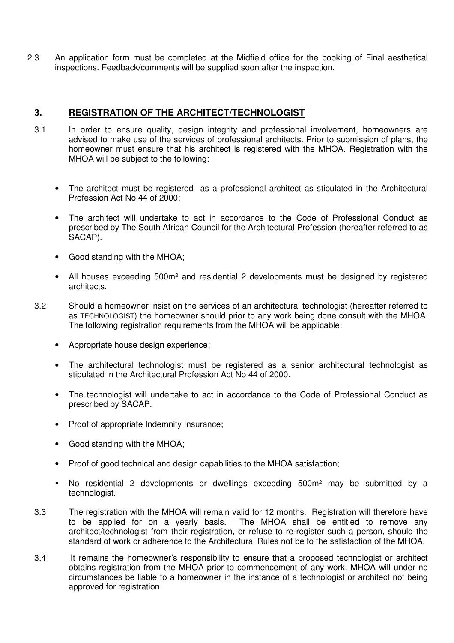2.3 An application form must be completed at the Midfield office for the booking of Final aesthetical inspections. Feedback/comments will be supplied soon after the inspection.

# **3. REGISTRATION OF THE ARCHITECT/TECHNOLOGIST**

- 3.1 In order to ensure quality, design integrity and professional involvement, homeowners are advised to make use of the services of professional architects. Prior to submission of plans, the homeowner must ensure that his architect is registered with the MHOA. Registration with the MHOA will be subject to the following:
	- The architect must be registered as a professional architect as stipulated in the Architectural Profession Act No 44 of 2000;
	- The architect will undertake to act in accordance to the Code of Professional Conduct as prescribed by The South African Council for the Architectural Profession (hereafter referred to as SACAP).
	- Good standing with the MHOA;
	- All houses exceeding 500m² and residential 2 developments must be designed by registered architects.
- 3.2 Should a homeowner insist on the services of an architectural technologist (hereafter referred to as TECHNOLOGIST) the homeowner should prior to any work being done consult with the MHOA. The following registration requirements from the MHOA will be applicable:
	- Appropriate house design experience;
	- The architectural technologist must be registered as a senior architectural technologist as stipulated in the Architectural Profession Act No 44 of 2000.
	- The technologist will undertake to act in accordance to the Code of Professional Conduct as prescribed by SACAP.
	- Proof of appropriate Indemnity Insurance;
	- Good standing with the MHOA;
	- Proof of good technical and design capabilities to the MHOA satisfaction:
	- No residential 2 developments or dwellings exceeding 500m² may be submitted by a technologist.
- 3.3 The registration with the MHOA will remain valid for 12 months. Registration will therefore have to be applied for on a yearly basis. The MHOA shall be entitled to remove any architect/technologist from their registration, or refuse to re-register such a person, should the standard of work or adherence to the Architectural Rules not be to the satisfaction of the MHOA.
- 3.4 It remains the homeowner's responsibility to ensure that a proposed technologist or architect obtains registration from the MHOA prior to commencement of any work. MHOA will under no circumstances be liable to a homeowner in the instance of a technologist or architect not being approved for registration.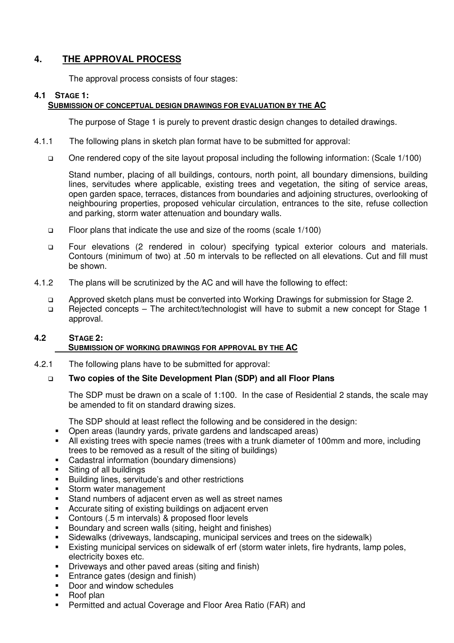# **4. THE APPROVAL PROCESS**

The approval process consists of four stages:

### **4.1 STAGE 1:**

### **SUBMISSION OF CONCEPTUAL DESIGN DRAWINGS FOR EVALUATION BY THE AC**

The purpose of Stage 1 is purely to prevent drastic design changes to detailed drawings.

- 4.1.1 The following plans in sketch plan format have to be submitted for approval:
	- One rendered copy of the site layout proposal including the following information: (Scale 1/100)

Stand number, placing of all buildings, contours, north point, all boundary dimensions, building lines, servitudes where applicable, existing trees and vegetation, the siting of service areas, open garden space, terraces, distances from boundaries and adjoining structures, overlooking of neighbouring properties, proposed vehicular circulation, entrances to the site, refuse collection and parking, storm water attenuation and boundary walls.

- Floor plans that indicate the use and size of the rooms (scale 1/100)
- Four elevations (2 rendered in colour) specifying typical exterior colours and materials. Contours (minimum of two) at .50 m intervals to be reflected on all elevations. Cut and fill must be shown.
- 4.1.2 The plans will be scrutinized by the AC and will have the following to effect:
	- Approved sketch plans must be converted into Working Drawings for submission for Stage 2.
	- Rejected concepts The architect/technologist will have to submit a new concept for Stage 1 approval.

### **4.2 STAGE 2: SUBMISSION OF WORKING DRAWINGS FOR APPROVAL BY THE AC**

4.2.1 The following plans have to be submitted for approval:

### **Two copies of the Site Development Plan (SDP) and all Floor Plans**

The SDP must be drawn on a scale of 1:100. In the case of Residential 2 stands, the scale may be amended to fit on standard drawing sizes.

The SDP should at least reflect the following and be considered in the design:

- **Den areas (laundry vards, private gardens and landscaped areas)**
- All existing trees with specie names (trees with a trunk diameter of 100mm and more, including trees to be removed as a result of the siting of buildings)
- Cadastral information (boundary dimensions)
- Siting of all buildings
- **Building lines, servitude's and other restrictions**<br>**E** Storm water management
- Storm water management<br>Stand numbers of adjacent
- Stand numbers of adjacent erven as well as street names
- Accurate siting of existing buildings on adjacent erven
- Contours (.5 m intervals) & proposed floor levels
- Boundary and screen walls (siting, height and finishes)
- Sidewalks (driveways, landscaping, municipal services and trees on the sidewalk)
- Existing municipal services on sidewalk of erf (storm water inlets, fire hydrants, lamp poles, electricity boxes etc.
- **Driveways and other paved areas (siting and finish)**
- **Entrance gates (design and finish)**
- Door and window schedules
- Roof plan
- **Permitted and actual Coverage and Floor Area Ratio (FAR) and**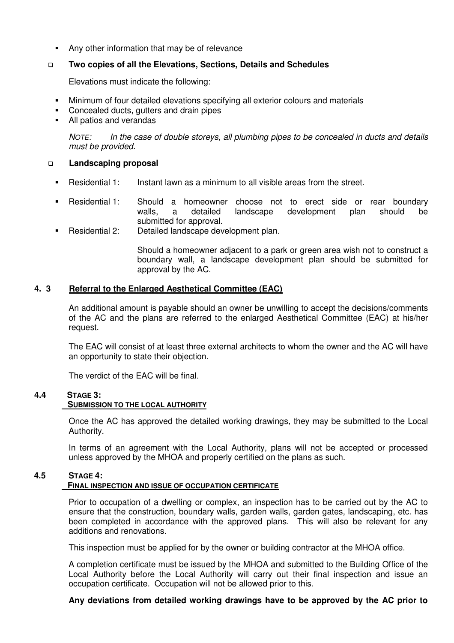Any other information that may be of relevance

### **Two copies of all the Elevations, Sections, Details and Schedules**

Elevations must indicate the following:

- Minimum of four detailed elevations specifying all exterior colours and materials
- Concealed ducts, gutters and drain pipes
- All patios and verandas

NOTE: In the case of double storeys, all plumbing pipes to be concealed in ducts and details must be provided.

#### **Landscaping proposal**

- Residential 1: Instant lawn as a minimum to all visible areas from the street.
- Residential 1: Should a homeowner choose not to erect side or rear boundary walls, a detailed landscape development plan should be submitted for approval.
- **Residential 2:** Detailed landscape development plan.

Should a homeowner adjacent to a park or green area wish not to construct a boundary wall, a landscape development plan should be submitted for approval by the AC.

### **4. 3 Referral to the Enlarged Aesthetical Committee (EAC)**

An additional amount is payable should an owner be unwilling to accept the decisions/comments of the AC and the plans are referred to the enlarged Aesthetical Committee (EAC) at his/her request.

The EAC will consist of at least three external architects to whom the owner and the AC will have an opportunity to state their objection.

The verdict of the EAC will be final.

#### **4.4 STAGE 3:**

### **SUBMISSION TO THE LOCAL AUTHORITY**

Once the AC has approved the detailed working drawings, they may be submitted to the Local Authority.

In terms of an agreement with the Local Authority, plans will not be accepted or processed unless approved by the MHOA and properly certified on the plans as such.

#### **4.5 STAGE 4: FINAL INSPECTION AND ISSUE OF OCCUPATION CERTIFICATE**

Prior to occupation of a dwelling or complex, an inspection has to be carried out by the AC to ensure that the construction, boundary walls, garden walls, garden gates, landscaping, etc. has been completed in accordance with the approved plans. This will also be relevant for any additions and renovations.

This inspection must be applied for by the owner or building contractor at the MHOA office.

A completion certificate must be issued by the MHOA and submitted to the Building Office of the Local Authority before the Local Authority will carry out their final inspection and issue an occupation certificate. Occupation will not be allowed prior to this.

### **Any deviations from detailed working drawings have to be approved by the AC prior to**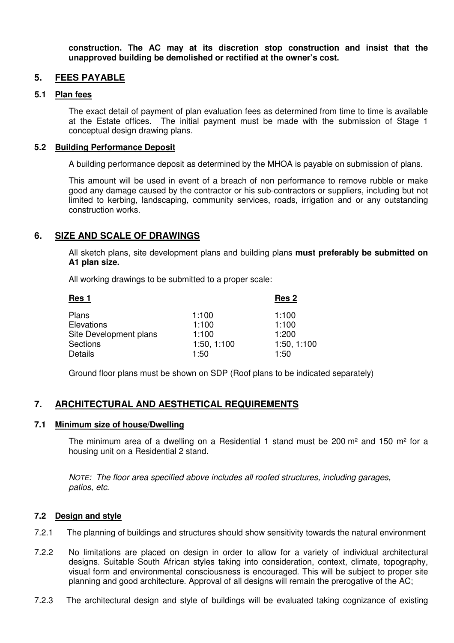**construction. The AC may at its discretion stop construction and insist that the unapproved building be demolished or rectified at the owner's cost.** 

### **5. FEES PAYABLE**

### **5.1 Plan fees**

The exact detail of payment of plan evaluation fees as determined from time to time is available at the Estate offices. The initial payment must be made with the submission of Stage 1 conceptual design drawing plans.

### **5.2 Building Performance Deposit**

A building performance deposit as determined by the MHOA is payable on submission of plans.

This amount will be used in event of a breach of non performance to remove rubble or make good any damage caused by the contractor or his sub-contractors or suppliers, including but not limited to kerbing, landscaping, community services, roads, irrigation and or any outstanding construction works.

### **6. SIZE AND SCALE OF DRAWINGS**

All sketch plans, site development plans and building plans **must preferably be submitted on A1 plan size.** 

All working drawings to be submitted to a proper scale:

|             | Res <sub>2</sub> |
|-------------|------------------|
| 1:100       | 1:100            |
| 1:100       | 1:100            |
| 1:100       | 1:200            |
| 1:50, 1:100 | 1:50, 1:100      |
| 1:50        | 1:50             |
|             |                  |

Ground floor plans must be shown on SDP (Roof plans to be indicated separately)

### **7. ARCHITECTURAL AND AESTHETICAL REQUIREMENTS**

#### **7.1 Minimum size of house/Dwelling**

The minimum area of a dwelling on a Residential 1 stand must be 200  $m<sup>2</sup>$  and 150  $m<sup>2</sup>$  for a housing unit on a Residential 2 stand.

NOTE: The floor area specified above includes all roofed structures, including garages, patios, etc.

### **7.2 Design and style**

- 7.2.1 The planning of buildings and structures should show sensitivity towards the natural environment
- 7.2.2 No limitations are placed on design in order to allow for a variety of individual architectural designs. Suitable South African styles taking into consideration, context, climate, topography, visual form and environmental consciousness is encouraged. This will be subject to proper site planning and good architecture. Approval of all designs will remain the prerogative of the AC;
- 7.2.3 The architectural design and style of buildings will be evaluated taking cognizance of existing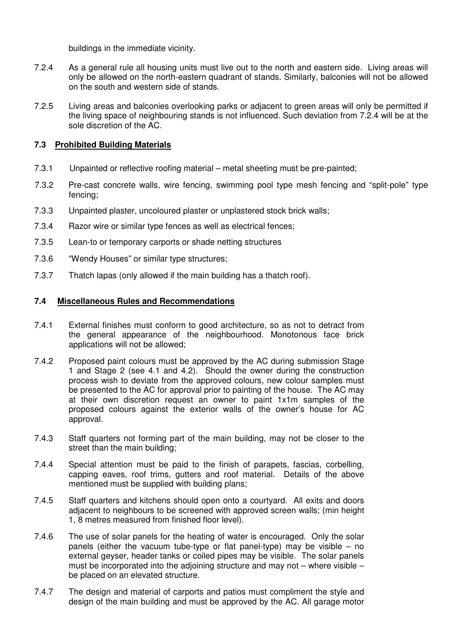buildings in the immediate vicinity.

- 7.2.4 As a general rule all housing units must live out to the north and eastern side. Living areas will only be allowed on the north-eastern quadrant of stands. Similarly, balconies will not be allowed on the south and western side of stands.
- 7.2.5 Living areas and balconies overlooking parks or adjacent to green areas will only be permitted if the living space of neighbouring stands is not influenced. Such deviation from 7.2.4 will be at the sole discretion of the AC.

### **7.3 Prohibited Building Materials**

- 7.3.1 Unpainted or reflective roofing material metal sheeting must be pre-painted;
- 7.3.2 Pre-cast concrete walls, wire fencing, swimming pool type mesh fencing and "split-pole" type fencing;
- 7.3.3 Unpainted plaster, uncoloured plaster or unplastered stock brick walls;
- 7.3.4 Razor wire or similar type fences as well as electrical fences;
- 7.3.5 Lean-to or temporary carports or shade netting structures
- 7.3.6 "Wendy Houses" or similar type structures;
- 7.3.7 Thatch lapas (only allowed if the main building has a thatch roof).

### **7.4 Miscellaneous Rules and Recommendations**

- 7.4.1 External finishes must conform to good architecture, so as not to detract from the general appearance of the neighbourhood. Monotonous face brick applications will not be allowed;
- 7.4.2 Proposed paint colours must be approved by the AC during submission Stage 1 and Stage 2 (see 4.1 and 4.2). Should the owner during the construction process wish to deviate from the approved colours, new colour samples must be presented to the AC for approval prior to painting of the house. The AC may at their own discretion request an owner to paint 1x1m samples of the proposed colours against the exterior walls of the owner's house for AC approval.
- 7.4.3 Staff quarters not forming part of the main building, may not be closer to the street than the main building;
- 7.4.4 Special attention must be paid to the finish of parapets, fascias, corbelling, capping eaves, roof trims, gutters and roof material. Details of the above mentioned must be supplied with building plans;
- 7.4.5 Staff quarters and kitchens should open onto a courtyard. All exits and doors adjacent to neighbours to be screened with approved screen walls; (min height 1, 8 metres measured from finished floor level).
- 7.4.6 The use of solar panels for the heating of water is encouraged. Only the solar panels (either the vacuum tube-type or flat panel-type) may be visible – no external geyser, header tanks or coiled pipes may be visible. The solar panels must be incorporated into the adjoining structure and may not – where visible – be placed on an elevated structure.
- 7.4.7 The design and material of carports and patios must compliment the style and design of the main building and must be approved by the AC. All garage motor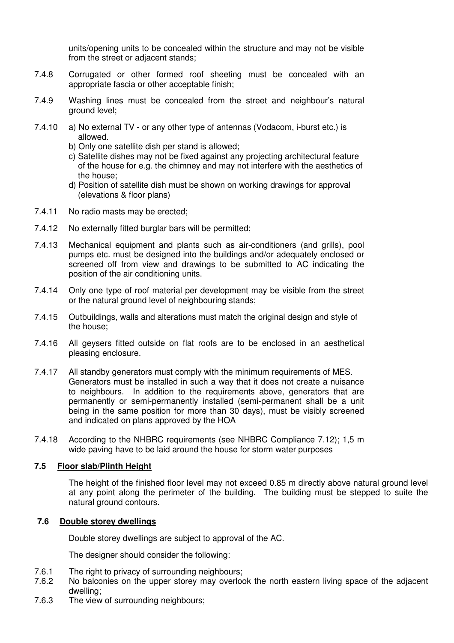units/opening units to be concealed within the structure and may not be visible from the street or adjacent stands;

- 7.4.8 Corrugated or other formed roof sheeting must be concealed with an appropriate fascia or other acceptable finish;
- 7.4.9 Washing lines must be concealed from the street and neighbour's natural ground level;
- 7.4.10 a) No external TV or any other type of antennas (Vodacom, i-burst etc.) is allowed.
	- b) Only one satellite dish per stand is allowed;
	- c) Satellite dishes may not be fixed against any projecting architectural feature of the house for e.g. the chimney and may not interfere with the aesthetics of the house;
	- d) Position of satellite dish must be shown on working drawings for approval (elevations & floor plans)
- 7.4.11 No radio masts may be erected;
- 7.4.12 No externally fitted burglar bars will be permitted;
- 7.4.13 Mechanical equipment and plants such as air-conditioners (and grills), pool pumps etc. must be designed into the buildings and/or adequately enclosed or screened off from view and drawings to be submitted to AC indicating the position of the air conditioning units.
- 7.4.14 Only one type of roof material per development may be visible from the street or the natural ground level of neighbouring stands;
- 7.4.15 Outbuildings, walls and alterations must match the original design and style of the house;
- 7.4.16 All geysers fitted outside on flat roofs are to be enclosed in an aesthetical pleasing enclosure.
- 7.4.17 All standby generators must comply with the minimum requirements of MES. Generators must be installed in such a way that it does not create a nuisance to neighbours. In addition to the requirements above, generators that are permanently or semi-permanently installed (semi-permanent shall be a unit being in the same position for more than 30 days), must be visibly screened and indicated on plans approved by the HOA
- 7.4.18 According to the NHBRC requirements (see NHBRC Compliance 7.12); 1,5 m wide paving have to be laid around the house for storm water purposes

### **7.5 Floor slab/Plinth Height**

The height of the finished floor level may not exceed 0.85 m directly above natural ground level at any point along the perimeter of the building. The building must be stepped to suite the natural ground contours.

### **7.6 Double storey dwellings**

Double storey dwellings are subject to approval of the AC.

The designer should consider the following:

- 7.6.1 The right to privacy of surrounding neighbours:
- 7.6.2 No balconies on the upper storey may overlook the north eastern living space of the adjacent dwelling;
- 7.6.3 The view of surrounding neighbours;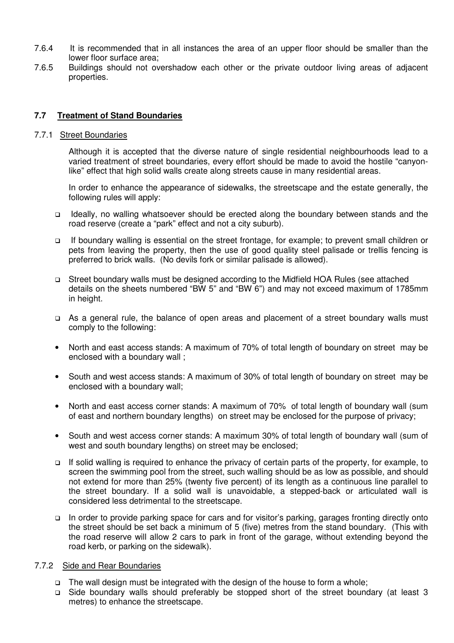- 7.6.4 It is recommended that in all instances the area of an upper floor should be smaller than the lower floor surface area;
- 7.6.5 Buildings should not overshadow each other or the private outdoor living areas of adjacent properties.

### **7.7 Treatment of Stand Boundaries**

7.7.1 Street Boundaries

Although it is accepted that the diverse nature of single residential neighbourhoods lead to a varied treatment of street boundaries, every effort should be made to avoid the hostile "canyonlike" effect that high solid walls create along streets cause in many residential areas.

In order to enhance the appearance of sidewalks, the streetscape and the estate generally, the following rules will apply:

- Ideally, no walling whatsoever should be erected along the boundary between stands and the road reserve (create a "park" effect and not a city suburb).
- If boundary walling is essential on the street frontage, for example; to prevent small children or pets from leaving the property, then the use of good quality steel palisade or trellis fencing is preferred to brick walls. (No devils fork or similar palisade is allowed).
- Street boundary walls must be designed according to the Midfield HOA Rules (see attached details on the sheets numbered "BW 5" and "BW 6") and may not exceed maximum of 1785mm in height.
- As a general rule, the balance of open areas and placement of a street boundary walls must comply to the following:
- North and east access stands: A maximum of 70% of total length of boundary on street may be enclosed with a boundary wall ;
- South and west access stands: A maximum of 30% of total length of boundary on street may be enclosed with a boundary wall;
- North and east access corner stands: A maximum of 70% of total length of boundary wall (sum of east and northern boundary lengths) on street may be enclosed for the purpose of privacy;
- South and west access corner stands: A maximum 30% of total length of boundary wall (sum of west and south boundary lengths) on street may be enclosed;
- $\Box$  If solid walling is required to enhance the privacy of certain parts of the property, for example, to screen the swimming pool from the street, such walling should be as low as possible, and should not extend for more than 25% (twenty five percent) of its length as a continuous line parallel to the street boundary. If a solid wall is unavoidable, a stepped-back or articulated wall is considered less detrimental to the streetscape.
- □ In order to provide parking space for cars and for visitor's parking, garages fronting directly onto the street should be set back a minimum of 5 (five) metres from the stand boundary. (This with the road reserve will allow 2 cars to park in front of the garage, without extending beyond the road kerb, or parking on the sidewalk).

### 7.7.2 Side and Rear Boundaries

- $\Box$  The wall design must be integrated with the design of the house to form a whole;
- Side boundary walls should preferably be stopped short of the street boundary (at least 3 metres) to enhance the streetscape.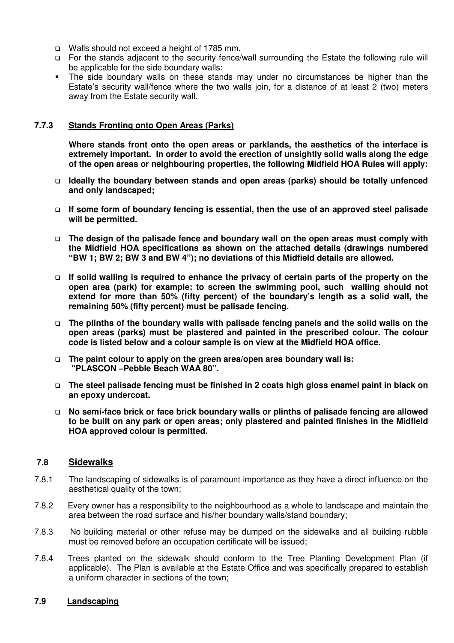- Walls should not exceed a height of 1785 mm.
- For the stands adjacent to the security fence/wall surrounding the Estate the following rule will be applicable for the side boundary walls:
- The side boundary walls on these stands may under no circumstances be higher than the Estate's security wall/fence where the two walls join, for a distance of at least 2 (two) meters away from the Estate security wall.

### **7.7.3 Stands Fronting onto Open Areas (Parks)**

 **Where stands front onto the open areas or parklands, the aesthetics of the interface is extremely important. In order to avoid the erection of unsightly solid walls along the edge of the open areas or neighbouring properties, the following Midfield HOA Rules will apply:** 

- **Ideally the boundary between stands and open areas (parks) should be totally unfenced and only landscaped;**
- **If some form of boundary fencing is essential, then the use of an approved steel palisade will be permitted.**
- **The design of the palisade fence and boundary wall on the open areas must comply with the Midfield HOA specifications as shown on the attached details (drawings numbered "BW 1; BW 2; BW 3 and BW 4"); no deviations of this Midfield details are allowed.**
- **If solid walling is required to enhance the privacy of certain parts of the property on the open area (park) for example: to screen the swimming pool, such walling should not extend for more than 50% (fifty percent) of the boundary's length as a solid wall, the remaining 50% (fifty percent) must be palisade fencing.**
- **The plinths of the boundary walls with palisade fencing panels and the solid walls on the open areas (parks) must be plastered and painted in the prescribed colour. The colour code is listed below and a colour sample is on view at the Midfield HOA office.**
- **The paint colour to apply on the green area/open area boundary wall is: "PLASCON –Pebble Beach WAA 80".**
- **The steel palisade fencing must be finished in 2 coats high gloss enamel paint in black on an epoxy undercoat.**
- **No semi-face brick or face brick boundary walls or plinths of palisade fencing are allowed to be built on any park or open areas; only plastered and painted finishes in the Midfield HOA approved colour is permitted.**

### **7.8 Sidewalks**

- 7.8.1 The landscaping of sidewalks is of paramount importance as they have a direct influence on the aesthetical quality of the town;
- 7.8.2 Every owner has a responsibility to the neighbourhood as a whole to landscape and maintain the area between the road surface and his/her boundary walls/stand boundary;
- 7.8.3 No building material or other refuse may be dumped on the sidewalks and all building rubble must be removed before an occupation certificate will be issued;
- 7.8.4 Trees planted on the sidewalk should conform to the Tree Planting Development Plan (if applicable). The Plan is available at the Estate Office and was specifically prepared to establish a uniform character in sections of the town;

#### **7.9 Landscaping**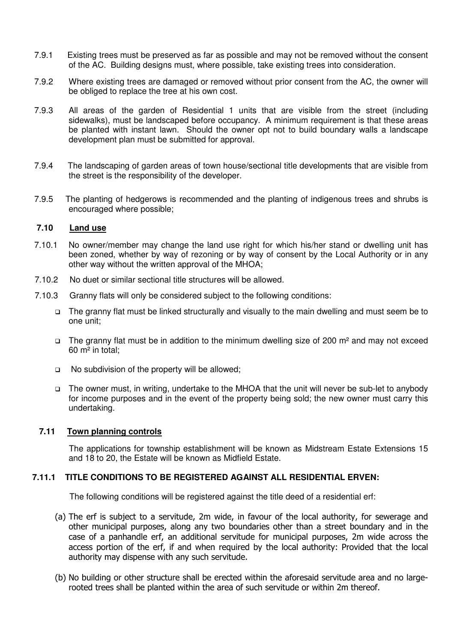- 7.9.1 Existing trees must be preserved as far as possible and may not be removed without the consent of the AC. Building designs must, where possible, take existing trees into consideration.
- 7.9.2 Where existing trees are damaged or removed without prior consent from the AC, the owner will be obliged to replace the tree at his own cost.
- 7.9.3 All areas of the garden of Residential 1 units that are visible from the street (including sidewalks), must be landscaped before occupancy. A minimum requirement is that these areas be planted with instant lawn. Should the owner opt not to build boundary walls a landscape development plan must be submitted for approval.
- 7.9.4 The landscaping of garden areas of town house/sectional title developments that are visible from the street is the responsibility of the developer.
- 7.9.5 The planting of hedgerows is recommended and the planting of indigenous trees and shrubs is encouraged where possible;

### **7.10 Land use**

- 7.10.1 No owner/member may change the land use right for which his/her stand or dwelling unit has been zoned, whether by way of rezoning or by way of consent by the Local Authority or in any other way without the written approval of the MHOA;
- 7.10.2 No duet or similar sectional title structures will be allowed.
- 7.10.3 Granny flats will only be considered subject to the following conditions:
	- □ The granny flat must be linked structurally and visually to the main dwelling and must seem be to one unit;
	- $\Box$  The granny flat must be in addition to the minimum dwelling size of 200 m<sup>2</sup> and may not exceed 60 m² in total;
	- $\Box$  No subdivision of the property will be allowed;
	- The owner must, in writing, undertake to the MHOA that the unit will never be sub-let to anybody for income purposes and in the event of the property being sold; the new owner must carry this undertaking.

### **7.11 Town planning controls**

 The applications for township establishment will be known as Midstream Estate Extensions 15 and 18 to 20, the Estate will be known as Midfield Estate.

### **7.11.1 TITLE CONDITIONS TO BE REGISTERED AGAINST ALL RESIDENTIAL ERVEN:**

The following conditions will be registered against the title deed of a residential erf:

- (a) The erf is subject to a servitude, 2m wide, in favour of the local authority, for sewerage and other municipal purposes, along any two boundaries other than a street boundary and in the case of a panhandle erf, an additional servitude for municipal purposes, 2m wide across the access portion of the erf, if and when required by the local authority: Provided that the local authority may dispense with any such servitude.
- (b) No building or other structure shall be erected within the aforesaid servitude area and no largerooted trees shall be planted within the area of such servitude or within 2m thereof.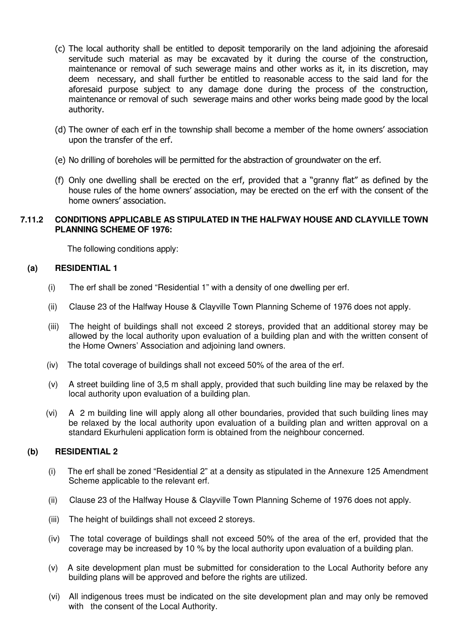- (c) The local authority shall be entitled to deposit temporarily on the land adjoining the aforesaid servitude such material as may be excavated by it during the course of the construction, maintenance or removal of such sewerage mains and other works as it, in its discretion, may deem necessary, and shall further be entitled to reasonable access to the said land for the aforesaid purpose subject to any damage done during the process of the construction, maintenance or removal of such sewerage mains and other works being made good by the local authority.
- (d) The owner of each erf in the township shall become a member of the home owners' association upon the transfer of the erf.
- (e) No drilling of boreholes will be permitted for the abstraction of groundwater on the erf.
- (f) Only one dwelling shall be erected on the erf, provided that a "granny flat" as defined by the house rules of the home owners' association, may be erected on the erf with the consent of the home owners' association.

### **7.11.2 CONDITIONS APPLICABLE AS STIPULATED IN THE HALFWAY HOUSE AND CLAYVILLE TOWN PLANNING SCHEME OF 1976:**

The following conditions apply:

### **(a) RESIDENTIAL 1**

- (i) The erf shall be zoned "Residential 1" with a density of one dwelling per erf.
- (ii) Clause 23 of the Halfway House & Clayville Town Planning Scheme of 1976 does not apply.
- (iii) The height of buildings shall not exceed 2 storeys, provided that an additional storey may be allowed by the local authority upon evaluation of a building plan and with the written consent of the Home Owners' Association and adjoining land owners.
- (iv) The total coverage of buildings shall not exceed 50% of the area of the erf.
- (v) A street building line of 3,5 m shall apply, provided that such building line may be relaxed by the local authority upon evaluation of a building plan.
- (vi) A 2 m building line will apply along all other boundaries, provided that such building lines may be relaxed by the local authority upon evaluation of a building plan and written approval on a standard Ekurhuleni application form is obtained from the neighbour concerned.

# **(b) RESIDENTIAL 2**

- (i) The erf shall be zoned "Residential 2" at a density as stipulated in the Annexure 125 Amendment Scheme applicable to the relevant erf.
- (ii) Clause 23 of the Halfway House & Clayville Town Planning Scheme of 1976 does not apply.
- (iii) The height of buildings shall not exceed 2 storeys.
- (iv) The total coverage of buildings shall not exceed 50% of the area of the erf, provided that the coverage may be increased by 10 % by the local authority upon evaluation of a building plan.
- (v) A site development plan must be submitted for consideration to the Local Authority before any building plans will be approved and before the rights are utilized.
- (vi) All indigenous trees must be indicated on the site development plan and may only be removed with the consent of the Local Authority.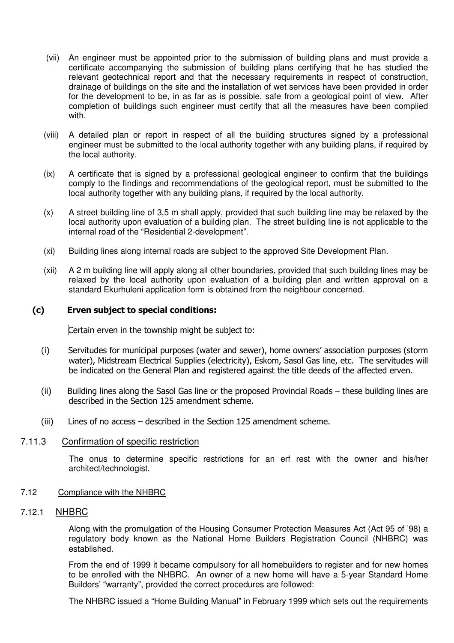- (vii) An engineer must be appointed prior to the submission of building plans and must provide a certificate accompanying the submission of building plans certifying that he has studied the relevant geotechnical report and that the necessary requirements in respect of construction, drainage of buildings on the site and the installation of wet services have been provided in order for the development to be, in as far as is possible, safe from a geological point of view. After completion of buildings such engineer must certify that all the measures have been complied with.
- (viii) A detailed plan or report in respect of all the building structures signed by a professional engineer must be submitted to the local authority together with any building plans, if required by the local authority.
- (ix) A certificate that is signed by a professional geological engineer to confirm that the buildings comply to the findings and recommendations of the geological report, must be submitted to the local authority together with any building plans, if required by the local authority.
- (x) A street building line of 3,5 m shall apply, provided that such building line may be relaxed by the local authority upon evaluation of a building plan. The street building line is not applicable to the internal road of the "Residential 2-development".
- (xi) Building lines along internal roads are subject to the approved Site Development Plan.
- (xii) A 2 m building line will apply along all other boundaries, provided that such building lines may be relaxed by the local authority upon evaluation of a building plan and written approval on a standard Ekurhuleni application form is obtained from the neighbour concerned.

### (c) Erven subject to special conditions:

Certain erven in the township might be subject to:

- (i) Servitudes for municipal purposes (water and sewer), home owners' association purposes (storm water), Midstream Electrical Supplies (electricity), Eskom, Sasol Gas line, etc. The servitudes will be indicated on the General Plan and registered against the title deeds of the affected erven.
- (ii) Building lines along the Sasol Gas line or the proposed Provincial Roads these building lines are described in the Section 125 amendment scheme.
- (iii) Lines of no access described in the Section 125 amendment scheme.

#### 7.11.3 Confirmation of specific restriction

 The onus to determine specific restrictions for an erf rest with the owner and his/her architect/technologist.

### 7.12 Compliance with the NHBRC

### 7.12.1 NHBRC

Along with the promulgation of the Housing Consumer Protection Measures Act (Act 95 of '98) a regulatory body known as the National Home Builders Registration Council (NHBRC) was established.

From the end of 1999 it became compulsory for all homebuilders to register and for new homes to be enrolled with the NHBRC. An owner of a new home will have a 5-year Standard Home Builders' "warranty", provided the correct procedures are followed:

The NHBRC issued a "Home Building Manual" in February 1999 which sets out the requirements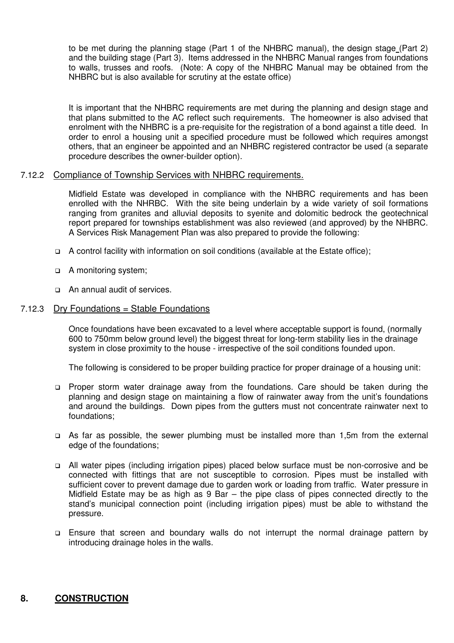to be met during the planning stage (Part 1 of the NHBRC manual), the design stage (Part 2) and the building stage (Part 3). Items addressed in the NHBRC Manual ranges from foundations to walls, trusses and roofs. (Note: A copy of the NHBRC Manual may be obtained from the NHBRC but is also available for scrutiny at the estate office)

It is important that the NHBRC requirements are met during the planning and design stage and that plans submitted to the AC reflect such requirements. The homeowner is also advised that enrolment with the NHBRC is a pre-requisite for the registration of a bond against a title deed. In order to enrol a housing unit a specified procedure must be followed which requires amongst others, that an engineer be appointed and an NHBRC registered contractor be used (a separate procedure describes the owner-builder option).

### 7.12.2 Compliance of Township Services with NHBRC requirements.

Midfield Estate was developed in compliance with the NHBRC requirements and has been enrolled with the NHRBC. With the site being underlain by a wide variety of soil formations ranging from granites and alluvial deposits to syenite and dolomitic bedrock the geotechnical report prepared for townships establishment was also reviewed (and approved) by the NHBRC. A Services Risk Management Plan was also prepared to provide the following:

- A control facility with information on soil conditions (available at the Estate office);
- A monitoring system;
- An annual audit of services.

### 7.12.3 Dry Foundations = Stable Foundations

Once foundations have been excavated to a level where acceptable support is found, (normally 600 to 750mm below ground level) the biggest threat for long-term stability lies in the drainage system in close proximity to the house - irrespective of the soil conditions founded upon.

The following is considered to be proper building practice for proper drainage of a housing unit:

- Proper storm water drainage away from the foundations. Care should be taken during the planning and design stage on maintaining a flow of rainwater away from the unit's foundations and around the buildings. Down pipes from the gutters must not concentrate rainwater next to foundations;
- As far as possible, the sewer plumbing must be installed more than 1,5m from the external edge of the foundations;
- All water pipes (including irrigation pipes) placed below surface must be non-corrosive and be connected with fittings that are not susceptible to corrosion. Pipes must be installed with sufficient cover to prevent damage due to garden work or loading from traffic. Water pressure in Midfield Estate may be as high as 9 Bar – the pipe class of pipes connected directly to the stand's municipal connection point (including irrigation pipes) must be able to withstand the pressure.
- Ensure that screen and boundary walls do not interrupt the normal drainage pattern by introducing drainage holes in the walls.

# **8. CONSTRUCTION**